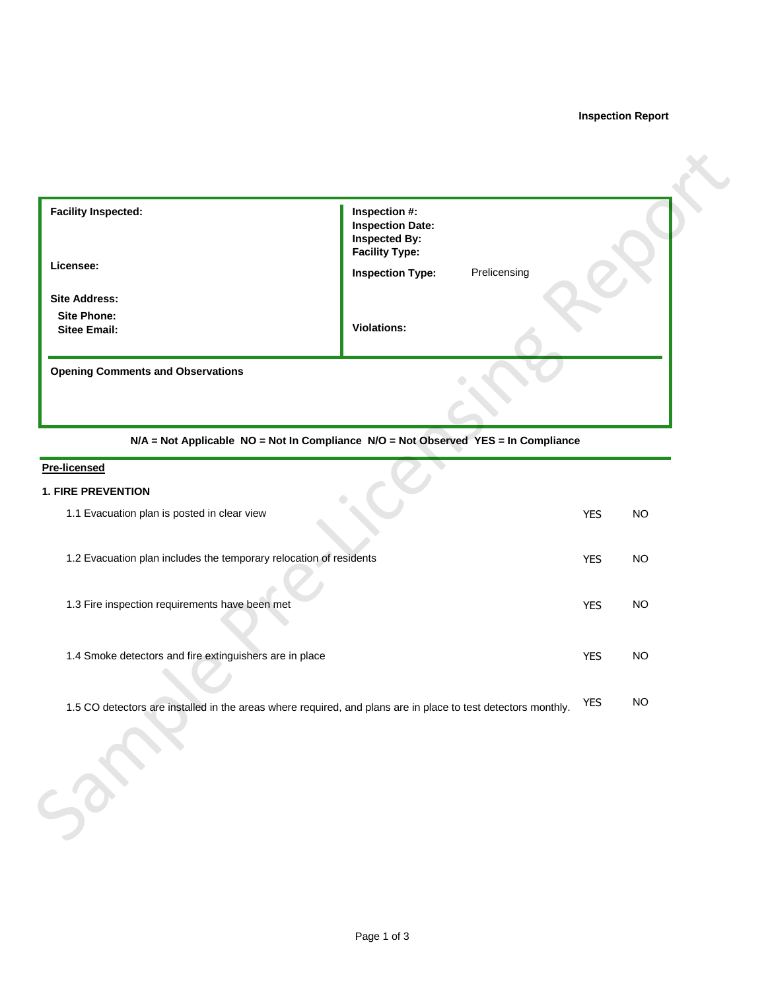# **Inspection Report**

| <b>Facility Inspected:</b>                                                                                    | Inspection #:<br><b>Inspection Date:</b><br><b>Inspected By:</b><br><b>Facility Type:</b> |            |           |
|---------------------------------------------------------------------------------------------------------------|-------------------------------------------------------------------------------------------|------------|-----------|
| Licensee:                                                                                                     | Prelicensing<br><b>Inspection Type:</b>                                                   |            |           |
| <b>Site Address:</b>                                                                                          |                                                                                           |            |           |
| <b>Site Phone:</b><br><b>Sitee Email:</b>                                                                     | <b>Violations:</b>                                                                        |            |           |
| <b>Opening Comments and Observations</b>                                                                      |                                                                                           |            |           |
|                                                                                                               | N/A = Not Applicable NO = Not In Compliance N/O = Not Observed YES = In Compliance        |            |           |
| <b>Pre-licensed</b>                                                                                           |                                                                                           |            |           |
| <b>1. FIRE PREVENTION</b><br>1.1 Evacuation plan is posted in clear view                                      |                                                                                           | <b>YES</b> | <b>NO</b> |
| 1.2 Evacuation plan includes the temporary relocation of residents                                            |                                                                                           | <b>YES</b> | <b>NO</b> |
| 1.3 Fire inspection requirements have been met                                                                |                                                                                           | <b>YES</b> | <b>NO</b> |
| 1.4 Smoke detectors and fire extinguishers are in place                                                       |                                                                                           | <b>YES</b> | <b>NO</b> |
| 1.5 CO detectors are installed in the areas where required, and plans are in place to test detectors monthly. |                                                                                           | <b>YES</b> | <b>NO</b> |
|                                                                                                               |                                                                                           |            |           |

### **Pre-licensed**

# **1. FIRE PREVENTION**

| 1.1 Evacuation plan is posted in clear view                                                                   | <b>YES</b> | <b>NO</b> |
|---------------------------------------------------------------------------------------------------------------|------------|-----------|
| 1.2 Evacuation plan includes the temporary relocation of residents                                            | <b>YES</b> | <b>NO</b> |
| 1.3 Fire inspection requirements have been met                                                                | <b>YES</b> | NO        |
| 1.4 Smoke detectors and fire extinguishers are in place                                                       | <b>YES</b> | NO        |
| 1.5 CO detectors are installed in the areas where required, and plans are in place to test detectors monthly. | <b>YES</b> | <b>NO</b> |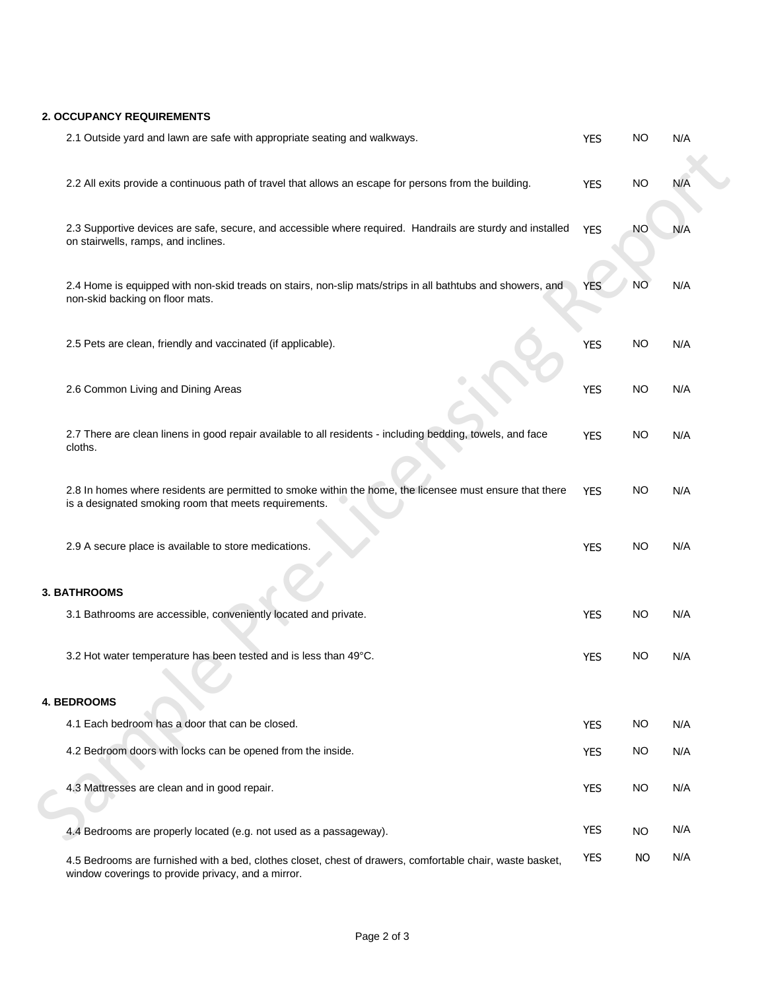## **2. OCCUPANCY REQUIREMENTS**

| 2.1 Outside yard and lawn are safe with appropriate seating and walkways.                                                                                         | <b>YES</b> | <b>NO</b> | N/A |
|-------------------------------------------------------------------------------------------------------------------------------------------------------------------|------------|-----------|-----|
| 2.2 All exits provide a continuous path of travel that allows an escape for persons from the building.                                                            | <b>YES</b> | <b>NO</b> | N/A |
| 2.3 Supportive devices are safe, secure, and accessible where required. Handrails are sturdy and installed<br>on stairwells, ramps, and inclines.                 | <b>YES</b> | <b>NO</b> | N/A |
| 2.4 Home is equipped with non-skid treads on stairs, non-slip mats/strips in all bathtubs and showers, and<br>non-skid backing on floor mats.                     | <b>YES</b> | <b>NO</b> | N/A |
| 2.5 Pets are clean, friendly and vaccinated (if applicable).                                                                                                      | <b>YES</b> | <b>NO</b> | N/A |
| 2.6 Common Living and Dining Areas                                                                                                                                | <b>YES</b> | <b>NO</b> | N/A |
| 2.7 There are clean linens in good repair available to all residents - including bedding, towels, and face<br>cloths.                                             | <b>YES</b> | <b>NO</b> | N/A |
| 2.8 In homes where residents are permitted to smoke within the home, the licensee must ensure that there<br>is a designated smoking room that meets requirements. | <b>YES</b> | <b>NO</b> | N/A |
| 2.9 A secure place is available to store medications.                                                                                                             | <b>YES</b> | <b>NO</b> | N/A |
| <b>3. BATHROOMS</b>                                                                                                                                               |            |           |     |
| 3.1 Bathrooms are accessible, conveniently located and private.                                                                                                   | <b>YES</b> | <b>NO</b> | N/A |
| 3.2 Hot water temperature has been tested and is less than 49°C.                                                                                                  | <b>YES</b> | <b>NO</b> | N/A |
| <b>4. BEDROOMS</b>                                                                                                                                                |            |           |     |
| 4.1 Each bedroom has a door that can be closed.                                                                                                                   | <b>YES</b> | NO        | N/A |
| 4.2 Bedroom doors with locks can be opened from the inside.                                                                                                       | <b>YES</b> | <b>NO</b> | N/A |
| 4.3 Mattresses are clean and in good repair.                                                                                                                      | <b>YES</b> | <b>NO</b> | N/A |
| 4.4 Bedrooms are properly located (e.g. not used as a passageway).                                                                                                | <b>YES</b> | <b>NO</b> | N/A |
| 4.5 Bedrooms are furnished with a bed, clothes closet, chest of drawers, comfortable chair, waste basket,<br>window coverings to provide privacy, and a mirror.   | <b>YES</b> | NO.       | N/A |